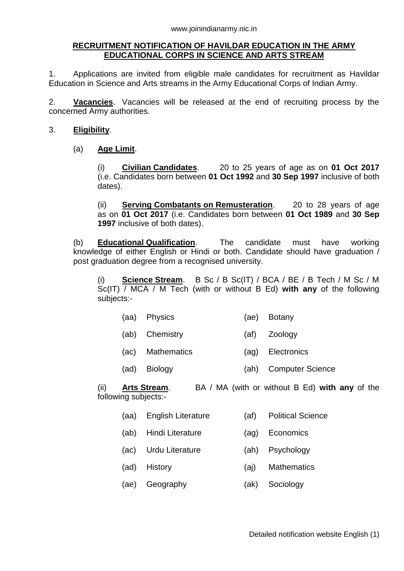#### **RECRUITMENT NOTIFICATION OF HAVILDAR EDUCATION IN THE ARMY EDUCATIONAL CORPS IN SCIENCE AND ARTS STREAM**

1. Applications are invited from eligible male candidates for recruitment as Havildar Education in Science and Arts streams in the Army Educational Corps of Indian Army.

2. **Vacancies**. Vacancies will be released at the end of recruiting process by the concerned Army authorities.

#### 3. **Eligibility**.

#### (a) **Age Limit**.

(i) **Civilian Candidates**. 20 to 25 years of age as on **01 Oct 2017** (i.e. Candidates born between **01 Oct 1992** and **30 Sep 1997** inclusive of both dates).

(ii) **Serving Combatants on Remusteration**. 20 to 28 years of age as on **01 Oct 2017** (i.e. Candidates born between **01 Oct 1989** and **30 Sep 1997** inclusive of both dates).

(b) **Educational Qualification**. The candidate must have working knowledge of either English or Hindi or both. Candidate should have graduation / post graduation degree from a recognised university.

(i) **Science Stream**. B Sc / B Sc(IT) / BCA / BE / B Tech / M Sc / M Sc(IT) / MCA / M Tech (with or without B Ed) **with any** of the following subjects:-

- (aa) Physics (ae) Botany
- (ab) Chemistry (af) Zoology
- (ac) Mathematics (ag) Electronics
- (ad) Biology (ah) Computer Science

(ii) **Arts Stream**. BA / MA (with or without B Ed) **with any** of the following subjects:-

- (aa) English Literature (af) Political Science
- (ab) Hindi Literature (ag) Economics
- (ac) Urdu Literature (ah) Psychology
- (ad) History (aj) Mathematics
- (ae) Geography (ak) Sociology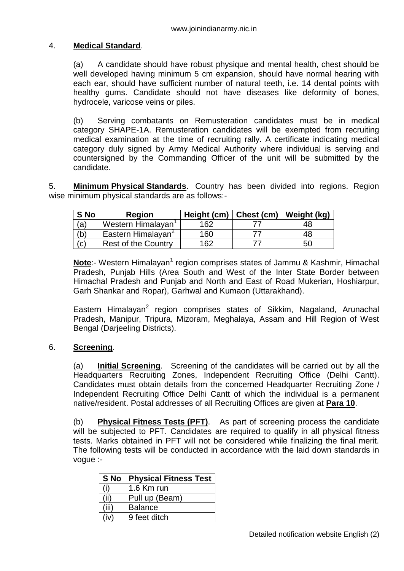## 4. **Medical Standard**.

(a) A candidate should have robust physique and mental health, chest should be well developed having minimum 5 cm expansion, should have normal hearing with each ear, should have sufficient number of natural teeth, i.e. 14 dental points with healthy gums. Candidate should not have diseases like deformity of bones, hydrocele, varicose veins or piles.

(b) Serving combatants on Remusteration candidates must be in medical category SHAPE-1A. Remusteration candidates will be exempted from recruiting medical examination at the time of recruiting rally. A certificate indicating medical category duly signed by Army Medical Authority where individual is serving and countersigned by the Commanding Officer of the unit will be submitted by the candidate.

5. **Minimum Physical Standards**. Country has been divided into regions. Region wise minimum physical standards are as follows:-

| S No         | <b>Region</b>                  | Height (cm) | Chest $(cm)$ | <b>Weight (kg)</b> |
|--------------|--------------------------------|-------------|--------------|--------------------|
| (a)          | Western Himalayan <sup>1</sup> | 162         |              | 48                 |
| (b)          | Eastern Himalayan <sup>2</sup> | 160         |              | 48                 |
| $\mathsf{C}$ | <b>Rest of the Country</b>     | 162         |              | 50                 |

Note:- Western Himalayan<sup>1</sup> region comprises states of Jammu & Kashmir, Himachal Pradesh, Punjab Hills (Area South and West of the Inter State Border between Himachal Pradesh and Punjab and North and East of Road Mukerian, Hoshiarpur, Garh Shankar and Ropar), Garhwal and Kumaon (Uttarakhand).

Eastern Himalayan<sup>2</sup> region comprises states of Sikkim, Nagaland, Arunachal Pradesh, Manipur, Tripura, Mizoram, Meghalaya, Assam and Hill Region of West Bengal (Darjeeling Districts).

#### 6. **Screening**.

(a) **Initial Screening**. Screening of the candidates will be carried out by all the Headquarters Recruiting Zones, Independent Recruiting Office (Delhi Cantt). Candidates must obtain details from the concerned Headquarter Recruiting Zone / Independent Recruiting Office Delhi Cantt of which the individual is a permanent native/resident. Postal addresses of all Recruiting Offices are given at **Para 10**.

(b) **Physical Fitness Tests (PFT)**. As part of screening process the candidate will be subjected to PFT. Candidates are required to qualify in all physical fitness tests. Marks obtained in PFT will not be considered while finalizing the final merit. The following tests will be conducted in accordance with the laid down standards in vogue :-

| S No | <b>Physical Fitness Test</b> |  |  |  |  |  |
|------|------------------------------|--|--|--|--|--|
|      | 1.6 Km run                   |  |  |  |  |  |
|      | Pull up (Beam)               |  |  |  |  |  |
|      | <b>Balance</b>               |  |  |  |  |  |
|      | 9 feet ditch                 |  |  |  |  |  |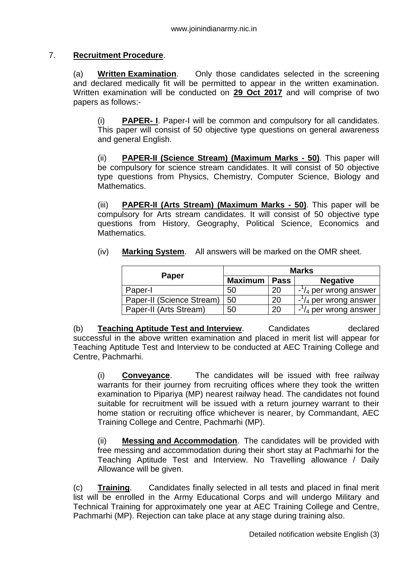### 7. **Recruitment Procedure**.

(a) **Written Examination**. Only those candidates selected in the screening and declared medically fit will be permitted to appear in the written examination. Written examination will be conducted on **29 Oct 2017** and will comprise of two papers as follows:-

(i) **PAPER- I**. Paper-I will be common and compulsory for all candidates. This paper will consist of 50 objective type questions on general awareness and general English.

(ii) **PAPER-II (Science Stream) (Maximum Marks - 50)**. This paper will be compulsory for science stream candidates. It will consist of 50 objective type questions from Physics, Chemistry, Computer Science, Biology and Mathematics.

(iii) **PAPER-II (Arts Stream) (Maximum Marks - 50)**. This paper will be compulsory for Arts stream candidates. It will consist of 50 objective type questions from History, Geography, Political Science, Economics and Mathematics.

(iv) **Marking System**. All answers will be marked on the OMR sheet.

|                           | <b>Marks</b> |      |                                |
|---------------------------|--------------|------|--------------------------------|
| Paper                     | Maximum      | Pass | <b>Negative</b>                |
| Paper-I                   | 50           | 20   | $\frac{1}{4}$ per wrong answer |
| Paper-II (Science Stream) | 50           | 20   | $\frac{1}{4}$ per wrong answer |
| Paper-II (Arts Stream)    | 50           | 20   | $\frac{1}{4}$ per wrong answer |

(b) **Teaching Aptitude Test and Interview**. Candidates declared successful in the above written examination and placed in merit list will appear for Teaching Aptitude Test and Interview to be conducted at AEC Training College and Centre, Pachmarhi.

(i) **Conveyance**. The candidates will be issued with free railway warrants for their journey from recruiting offices where they took the written examination to Pipariya (MP) nearest railway head. The candidates not found suitable for recruitment will be issued with a return journey warrant to their home station or recruiting office whichever is nearer, by Commandant, AEC Training College and Centre, Pachmarhi (MP).

(ii) **Messing and Accommodation**. The candidates will be provided with free messing and accommodation during their short stay at Pachmarhi for the Teaching Aptitude Test and Interview. No Travelling allowance / Daily Allowance will be given.

(c) **Training**. Candidates finally selected in all tests and placed in final merit list will be enrolled in the Army Educational Corps and will undergo Military and Technical Training for approximately one year at AEC Training College and Centre, Pachmarhi (MP). Rejection can take place at any stage during training also.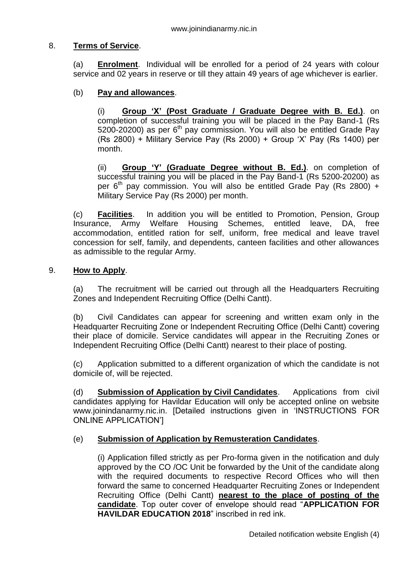# 8. **Terms of Service**.

(a) **Enrolment**. Individual will be enrolled for a period of 24 years with colour service and 02 years in reserve or till they attain 49 years of age whichever is earlier.

#### (b) **Pay and allowances**.

(i) **Group 'X' (Post Graduate / Graduate Degree with B. Ed.)**. on completion of successful training you will be placed in the Pay Band-1 (Rs 5200-20200) as per  $6<sup>th</sup>$  pay commission. You will also be entitled Grade Pay (Rs 2800) + Military Service Pay (Rs 2000) + Group "X" Pay (Rs 1400) per month.

(ii) **Group 'Y' (Graduate Degree without B. Ed.)**. on completion of successful training you will be placed in the Pay Band-1 (Rs 5200-20200) as per  $6<sup>th</sup>$  pay commission. You will also be entitled Grade Pay (Rs 2800) + Military Service Pay (Rs 2000) per month.

(c) **Facilities**. In addition you will be entitled to Promotion, Pension, Group Insurance, Army Welfare Housing Schemes, entitled leave, DA, free accommodation, entitled ration for self, uniform, free medical and leave travel concession for self, family, and dependents, canteen facilities and other allowances as admissible to the regular Army.

#### 9. **How to Apply**.

(a) The recruitment will be carried out through all the Headquarters Recruiting Zones and Independent Recruiting Office (Delhi Cantt).

(b) Civil Candidates can appear for screening and written exam only in the Headquarter Recruiting Zone or Independent Recruiting Office (Delhi Cantt) covering their place of domicile. Service candidates will appear in the Recruiting Zones or Independent Recruiting Office (Delhi Cantt) nearest to their place of posting.

(c) Application submitted to a different organization of which the candidate is not domicile of, will be rejected.

(d) **Submission of Application by Civil Candidates**. Applications from civil candidates applying for Havildar Education will only be accepted online on website www.joinindanarmy.nic.in. [Detailed instructions given in "INSTRUCTIONS FOR ONLINE APPLICATION"]

#### (e) **Submission of Application by Remusteration Candidates**.

(i) Application filled strictly as per Pro-forma given in the notification and duly approved by the CO /OC Unit be forwarded by the Unit of the candidate along with the required documents to respective Record Offices who will then forward the same to concerned Headquarter Recruiting Zones or Independent Recruiting Office (Delhi Cantt) **nearest to the place of posting of the candidate**. Top outer cover of envelope should read "**APPLICATION FOR HAVILDAR EDUCATION 2018**" inscribed in red ink.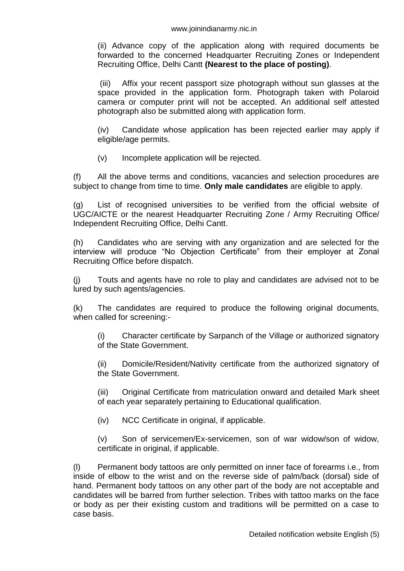(ii) Advance copy of the application along with required documents be forwarded to the concerned Headquarter Recruiting Zones or Independent Recruiting Office, Delhi Cantt **(Nearest to the place of posting)**.

(iii) Affix your recent passport size photograph without sun glasses at the space provided in the application form. Photograph taken with Polaroid camera or computer print will not be accepted. An additional self attested photograph also be submitted along with application form.

(iv) Candidate whose application has been rejected earlier may apply if eligible/age permits.

(v) Incomplete application will be rejected.

(f) All the above terms and conditions, vacancies and selection procedures are subject to change from time to time. **Only male candidates** are eligible to apply.

(g) List of recognised universities to be verified from the official website of UGC/AICTE or the nearest Headquarter Recruiting Zone / Army Recruiting Office/ Independent Recruiting Office, Delhi Cantt.

(h) Candidates who are serving with any organization and are selected for the interview will produce "No Objection Certificate" from their employer at Zonal Recruiting Office before dispatch.

(j) Touts and agents have no role to play and candidates are advised not to be lured by such agents/agencies.

(k) The candidates are required to produce the following original documents, when called for screening:-

(i) Character certificate by Sarpanch of the Village or authorized signatory of the State Government.

(ii) Domicile/Resident/Nativity certificate from the authorized signatory of the State Government.

(iii) Original Certificate from matriculation onward and detailed Mark sheet of each year separately pertaining to Educational qualification.

(iv) NCC Certificate in original, if applicable.

(v) Son of servicemen/Ex-servicemen, son of war widow/son of widow, certificate in original, if applicable.

(l) Permanent body tattoos are only permitted on inner face of forearms i.e., from inside of elbow to the wrist and on the reverse side of palm/back (dorsal) side of hand. Permanent body tattoos on any other part of the body are not acceptable and candidates will be barred from further selection. Tribes with tattoo marks on the face or body as per their existing custom and traditions will be permitted on a case to case basis.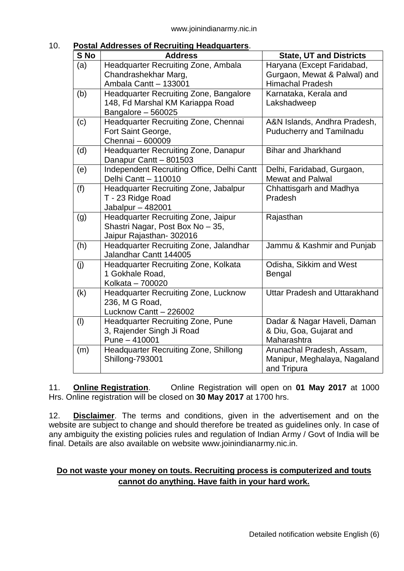| 10. |  | <b>Postal Addresses of Recruiting Headquarters.</b> |
|-----|--|-----------------------------------------------------|
|     |  |                                                     |

| S No | <b>Address</b>                                | <b>State, UT and Districts</b>       |
|------|-----------------------------------------------|--------------------------------------|
| (a)  | Headquarter Recruiting Zone, Ambala           | Haryana (Except Faridabad,           |
|      | Chandrashekhar Marg,                          | Gurgaon, Mewat & Palwal) and         |
|      | Ambala Cantt - 133001                         | <b>Himachal Pradesh</b>              |
| (b)  | <b>Headquarter Recruiting Zone, Bangalore</b> | Karnataka, Kerala and                |
|      | 148, Fd Marshal KM Kariappa Road              | Lakshadweep                          |
|      | Bangalore - 560025                            |                                      |
| (c)  | Headquarter Recruiting Zone, Chennai          | A&N Islands, Andhra Pradesh,         |
|      | Fort Saint George,                            | <b>Puducherry and Tamilnadu</b>      |
|      | Chennai - 600009                              |                                      |
| (d)  | <b>Headquarter Recruiting Zone, Danapur</b>   | <b>Bihar and Jharkhand</b>           |
|      | Danapur Cantt - 801503                        |                                      |
| (e)  | Independent Recruiting Office, Delhi Cantt    | Delhi, Faridabad, Gurgaon,           |
|      | Delhi Cantt - 110010                          | <b>Mewat and Palwal</b>              |
| (f)  | <b>Headquarter Recruiting Zone, Jabalpur</b>  | Chhattisgarh and Madhya              |
|      | T - 23 Ridge Road                             | Pradesh                              |
|      | Jabalpur - 482001                             |                                      |
| (g)  | <b>Headquarter Recruiting Zone, Jaipur</b>    | Rajasthan                            |
|      | Shastri Nagar, Post Box No - 35,              |                                      |
|      | Jaipur Rajasthan- 302016                      |                                      |
| (h)  | <b>Headquarter Recruiting Zone, Jalandhar</b> | Jammu & Kashmir and Punjab           |
|      | Jalandhar Cantt 144005                        |                                      |
| (j)  | Headquarter Recruiting Zone, Kolkata          | Odisha, Sikkim and West              |
|      | 1 Gokhale Road,                               | <b>Bengal</b>                        |
|      | Kolkata - 700020                              |                                      |
| (k)  | <b>Headquarter Recruiting Zone, Lucknow</b>   | <b>Uttar Pradesh and Uttarakhand</b> |
|      | 236, M G Road,                                |                                      |
|      | Lucknow Cantt - 226002                        |                                      |
| (1)  | <b>Headquarter Recruiting Zone, Pune</b>      | Dadar & Nagar Haveli, Daman          |
|      | 3, Rajender Singh Ji Road                     | & Diu, Goa, Gujarat and              |
|      | Pune - 410001                                 | Maharashtra                          |
| (m)  | <b>Headquarter Recruiting Zone, Shillong</b>  | Arunachal Pradesh, Assam,            |
|      | Shillong-793001                               | Manipur, Meghalaya, Nagaland         |
|      |                                               | and Tripura                          |

11. **Online Registration**. Online Registration will open on **01 May 2017** at 1000 Hrs. Online registration will be closed on **30 May 2017** at 1700 hrs.

12. **Disclaimer**. The terms and conditions, given in the advertisement and on the website are subject to change and should therefore be treated as guidelines only. In case of any ambiguity the existing policies rules and regulation of Indian Army / Govt of India will be final. Details are also available on website www.joinindianarmy.nic.in.

# **Do not waste your money on touts. Recruiting process is computerized and touts cannot do anything. Have faith in your hard work.**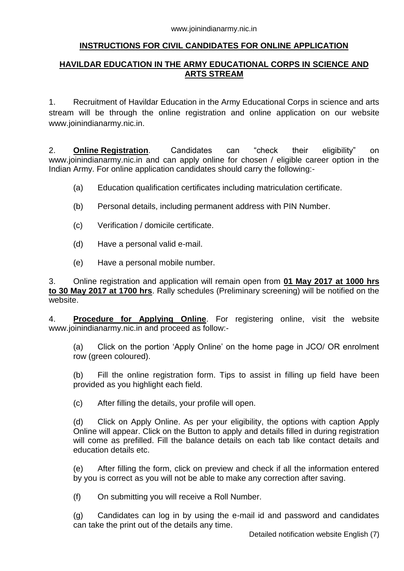## **INSTRUCTIONS FOR CIVIL CANDIDATES FOR ONLINE APPLICATION**

# **HAVILDAR EDUCATION IN THE ARMY EDUCATIONAL CORPS IN SCIENCE AND ARTS STREAM**

1. Recruitment of Havildar Education in the Army Educational Corps in science and arts stream will be through the online registration and online application on our website www.joinindianarmy.nic.in.

2. **Online Registration**. Candidates can "check their eligibility" on www.ioinindianarmy.nic.in and can apply online for chosen / eligible career option in the Indian Army. For online application candidates should carry the following:-

- (a) Education qualification certificates including matriculation certificate.
- (b) Personal details, including permanent address with PIN Number.
- (c) Verification / domicile certificate.
- (d) Have a personal valid e-mail.
- (e) Have a personal mobile number.

3. Online registration and application will remain open from **01 May 2017 at 1000 hrs to 30 May 2017 at 1700 hrs**. Rally schedules (Preliminary screening) will be notified on the website.

4. **Procedure for Applying Online**. For registering online, visit the website www.joinindianarmy.nic.in and proceed as follow:-

(a) Click on the portion "Apply Online" on the home page in JCO/ OR enrolment row (green coloured).

(b) Fill the online registration form. Tips to assist in filling up field have been provided as you highlight each field.

(c) After filling the details, your profile will open.

(d) Click on Apply Online. As per your eligibility, the options with caption Apply Online will appear. Click on the Button to apply and details filled in during registration will come as prefilled. Fill the balance details on each tab like contact details and education details etc.

(e) After filling the form, click on preview and check if all the information entered by you is correct as you will not be able to make any correction after saving.

(f) On submitting you will receive a Roll Number.

(g) Candidates can log in by using the e-mail id and password and candidates can take the print out of the details any time.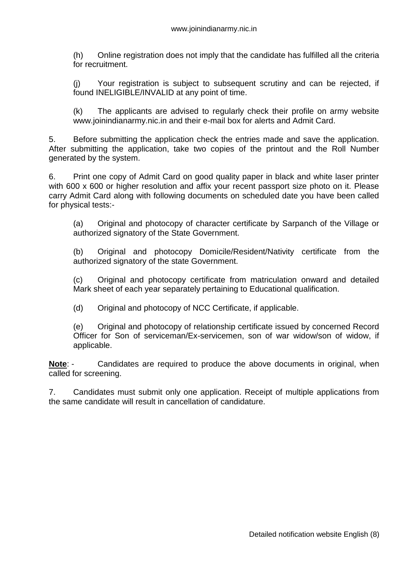(h) Online registration does not imply that the candidate has fulfilled all the criteria for recruitment.

(j) Your registration is subject to subsequent scrutiny and can be rejected, if found INELIGIBLE/INVALID at any point of time.

(k) The applicants are advised to regularly check their profile on army website www.joinindianarmy.nic.in and their e-mail box for alerts and Admit Card.

5. Before submitting the application check the entries made and save the application. After submitting the application, take two copies of the printout and the Roll Number generated by the system.

6. Print one copy of Admit Card on good quality paper in black and white laser printer with 600 x 600 or higher resolution and affix your recent passport size photo on it. Please carry Admit Card along with following documents on scheduled date you have been called for physical tests:-

(a) Original and photocopy of character certificate by Sarpanch of the Village or authorized signatory of the State Government.

(b) Original and photocopy Domicile/Resident/Nativity certificate from the authorized signatory of the state Government.

(c) Original and photocopy certificate from matriculation onward and detailed Mark sheet of each year separately pertaining to Educational qualification.

(d) Original and photocopy of NCC Certificate, if applicable.

(e) Original and photocopy of relationship certificate issued by concerned Record Officer for Son of serviceman/Ex-servicemen, son of war widow/son of widow, if applicable.

**Note:** - Candidates are required to produce the above documents in original, when called for screening.

7. Candidates must submit only one application. Receipt of multiple applications from the same candidate will result in cancellation of candidature.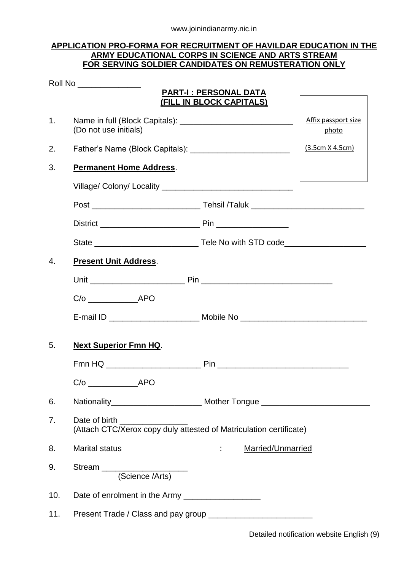#### **APPLICATION PRO-FORMA FOR RECRUITMENT OF HAVILDAR EDUCATION IN THE ARMY EDUCATIONAL CORPS IN SCIENCE AND ARTS STREAM FOR SERVING SOLDIER CANDIDATES ON REMUSTERATION ONLY**

| Roll No _______________                            |                                                                                     |                                               |                              |  |  |  |
|----------------------------------------------------|-------------------------------------------------------------------------------------|-----------------------------------------------|------------------------------|--|--|--|
| PART-I : PERSONAL DATA<br>(FILL IN BLOCK CAPITALS) |                                                                                     |                                               |                              |  |  |  |
| 1.                                                 | (Do not use initials)                                                               |                                               | Affix passport size<br>photo |  |  |  |
| 2.                                                 |                                                                                     |                                               | (3.5cm X 4.5cm)              |  |  |  |
| 3.                                                 | <b>Permanent Home Address.</b>                                                      |                                               |                              |  |  |  |
|                                                    |                                                                                     |                                               |                              |  |  |  |
|                                                    |                                                                                     |                                               |                              |  |  |  |
|                                                    |                                                                                     |                                               |                              |  |  |  |
|                                                    |                                                                                     |                                               |                              |  |  |  |
| 4.                                                 | <b>Present Unit Address.</b>                                                        |                                               |                              |  |  |  |
|                                                    |                                                                                     |                                               |                              |  |  |  |
|                                                    | $C/O$ $\qquad \qquad \text{APO}$                                                    |                                               |                              |  |  |  |
|                                                    |                                                                                     |                                               |                              |  |  |  |
| 5.                                                 | <b>Next Superior Fmn HQ.</b>                                                        |                                               |                              |  |  |  |
|                                                    |                                                                                     |                                               |                              |  |  |  |
|                                                    | C/o APO                                                                             |                                               |                              |  |  |  |
| 6.                                                 |                                                                                     |                                               |                              |  |  |  |
| 7.                                                 | Date of birth<br>(Attach CTC/Xerox copy duly attested of Matriculation certificate) |                                               |                              |  |  |  |
| 8.                                                 | <b>Marital status</b>                                                               | Married/Unmarried<br>$\mathcal{L}_{\rm{max}}$ |                              |  |  |  |
| 9.                                                 | Stream (Science /Arts)                                                              |                                               |                              |  |  |  |
| 10.                                                |                                                                                     |                                               |                              |  |  |  |
| 11.                                                |                                                                                     |                                               |                              |  |  |  |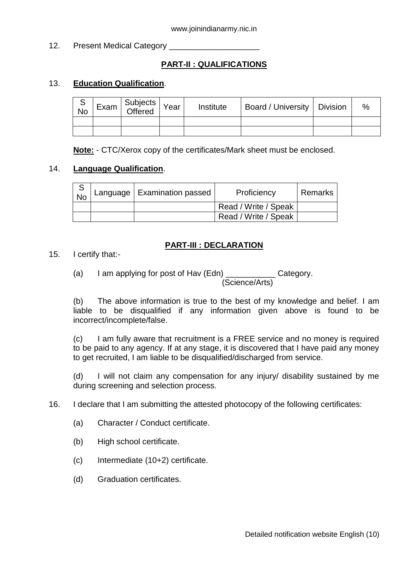12. Present Medical Category \_\_\_\_\_\_\_\_\_\_

# **PART-II : QUALIFICATIONS**

# 13. **Education Qualification**.

| $\circ$<br><b>No</b> | $\begin{array}{ c c c c c }\n\hline\n\text{Exam} & \text{Subjects} & \text{Year}\n\end{array}$ | Institute | Board / University   Division | % |
|----------------------|------------------------------------------------------------------------------------------------|-----------|-------------------------------|---|
|                      |                                                                                                |           |                               |   |
|                      |                                                                                                |           |                               |   |

**Note:** - CTC/Xerox copy of the certificates/Mark sheet must be enclosed.

## 14. **Language Qualification**.

| S<br>No | Language   Examination passed | Proficiency          | Remarks |
|---------|-------------------------------|----------------------|---------|
|         |                               | Read / Write / Speak |         |
|         |                               | Read / Write / Speak |         |

# **PART-III : DECLARATION**

15. I certify that:-

(a) I am applying for post of Hav (Edn) \_\_\_\_\_\_\_\_\_\_\_\_\_\_ Category. (Science/Arts)

(b) The above information is true to the best of my knowledge and belief. I am liable to be disqualified if any information given above is found to be incorrect/incomplete/false.

(c) I am fully aware that recruitment is a FREE service and no money is required to be paid to any agency. If at any stage, it is discovered that I have paid any money to get recruited, I am liable to be disqualified/discharged from service.

(d) I will not claim any compensation for any injury/ disability sustained by me during screening and selection process.

16. I declare that I am submitting the attested photocopy of the following certificates:

- (a) Character / Conduct certificate.
- (b) High school certificate.
- (c) Intermediate (10+2) certificate.
- (d) Graduation certificates.